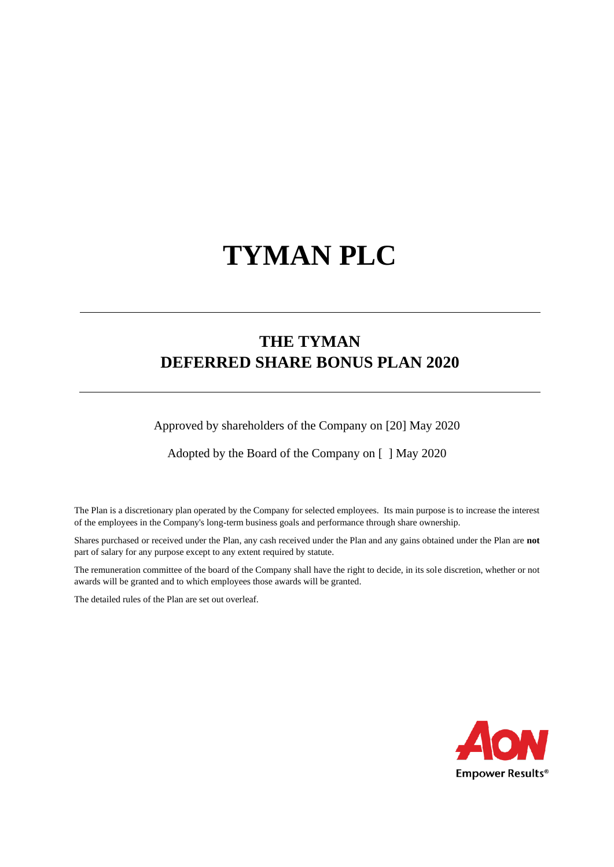# **TYMAN PLC**

# **THE TYMAN DEFERRED SHARE BONUS PLAN 2020**

Approved by shareholders of the Company on [20] May 2020

Adopted by the Board of the Company on [ ] May 2020

The Plan is a discretionary plan operated by the Company for selected employees. Its main purpose is to increase the interest of the employees in the Company's long-term business goals and performance through share ownership.

Shares purchased or received under the Plan, any cash received under the Plan and any gains obtained under the Plan are **not** part of salary for any purpose except to any extent required by statute.

The remuneration committee of the board of the Company shall have the right to decide, in its sole discretion, whether or not awards will be granted and to which employees those awards will be granted.

The detailed rules of the Plan are set out overleaf.

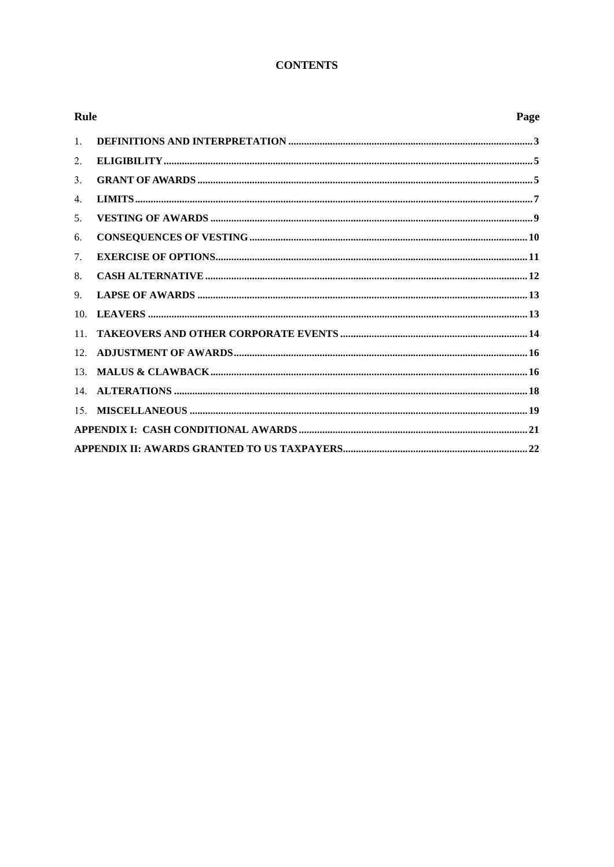# **CONTENTS**

| <b>Rule</b>     |  | Page |
|-----------------|--|------|
| 1.              |  |      |
| 2.              |  |      |
| 3.              |  |      |
| 4.              |  |      |
| 5.              |  |      |
| 6.              |  |      |
| 7.              |  |      |
| 8.              |  |      |
| 9.              |  |      |
| 10 <sub>1</sub> |  |      |
| 11.             |  |      |
| 12.             |  |      |
| 13.             |  |      |
|                 |  |      |
| 15.             |  |      |
|                 |  |      |
|                 |  |      |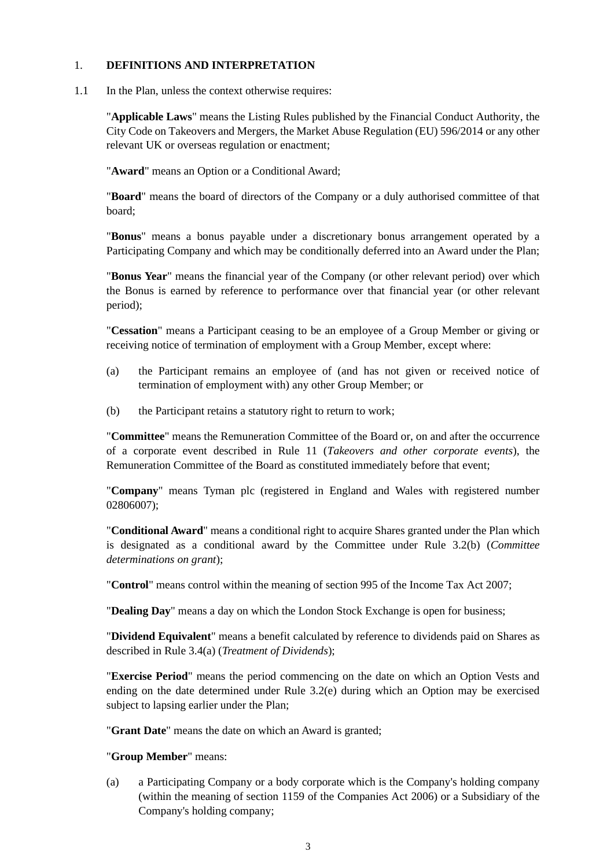#### 1. **DEFINITIONS AND INTERPRETATION**

1.1 In the Plan, unless the context otherwise requires:

"**Applicable Laws**" means the Listing Rules published by the Financial Conduct Authority, the City Code on Takeovers and Mergers, the Market Abuse Regulation (EU) 596/2014 or any other relevant UK or overseas regulation or enactment;

"**Award**" means an Option or a Conditional Award;

"**Board**" means the board of directors of the Company or a duly authorised committee of that board;

"**Bonus**" means a bonus payable under a discretionary bonus arrangement operated by a Participating Company and which may be conditionally deferred into an Award under the Plan;

"**Bonus Year**" means the financial year of the Company (or other relevant period) over which the Bonus is earned by reference to performance over that financial year (or other relevant period);

"**Cessation**" means a Participant ceasing to be an employee of a Group Member or giving or receiving notice of termination of employment with a Group Member, except where:

- (a) the Participant remains an employee of (and has not given or received notice of termination of employment with) any other Group Member; or
- (b) the Participant retains a statutory right to return to work;

"**Committee**" means the Remuneration Committee of the Board or, on and after the occurrence of a corporate event described in Rule 11 (*Takeovers and other corporate events*), the Remuneration Committee of the Board as constituted immediately before that event;

"**Company**" means Tyman plc (registered in England and Wales with registered number 02806007);

"**Conditional Award**" means a conditional right to acquire Shares granted under the Plan which is designated as a conditional award by the Committee under Rule 3.2(b) (*Committee determinations on grant*);

"**Control**" means control within the meaning of section 995 of the Income Tax Act 2007;

"**Dealing Day**" means a day on which the London Stock Exchange is open for business;

"**Dividend Equivalent**" means a benefit calculated by reference to dividends paid on Shares as described in Rule 3.4(a) (*Treatment of Dividends*);

"**Exercise Period**" means the period commencing on the date on which an Option Vests and ending on the date determined under Rule 3.2(e) during which an Option may be exercised subject to lapsing earlier under the Plan:

"**Grant Date**" means the date on which an Award is granted;

#### "**Group Member**" means:

(a) a Participating Company or a body corporate which is the Company's holding company (within the meaning of section 1159 of the Companies Act 2006) or a Subsidiary of the Company's holding company;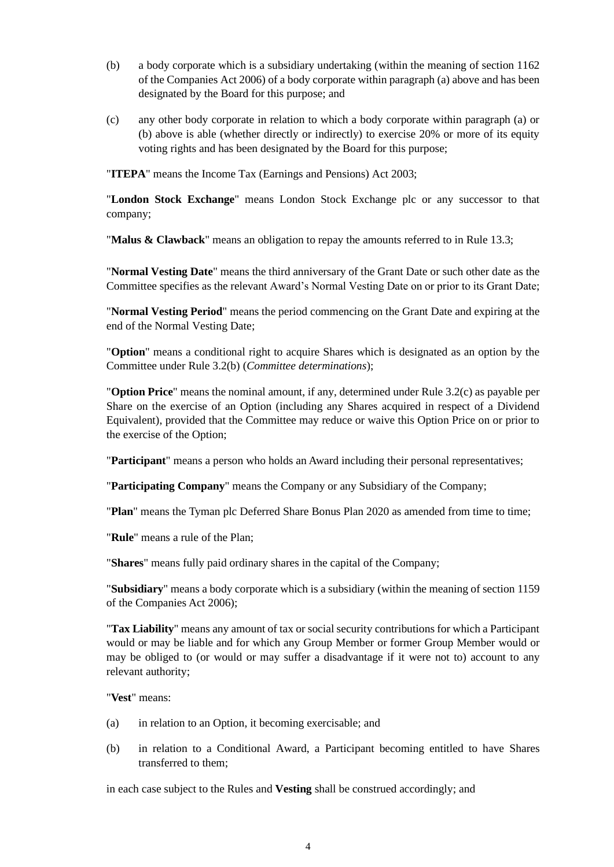- (b) a body corporate which is a subsidiary undertaking (within the meaning of section 1162 of the Companies Act 2006) of a body corporate within paragraph (a) above and has been designated by the Board for this purpose; and
- (c) any other body corporate in relation to which a body corporate within paragraph (a) or (b) above is able (whether directly or indirectly) to exercise 20% or more of its equity voting rights and has been designated by the Board for this purpose;

"**ITEPA**" means the Income Tax (Earnings and Pensions) Act 2003;

"**London Stock Exchange**" means London Stock Exchange plc or any successor to that company;

"**Malus & Clawback**" means an obligation to repay the amounts referred to in Rule 13.3;

"**Normal Vesting Date**" means the third anniversary of the Grant Date or such other date as the Committee specifies as the relevant Award's Normal Vesting Date on or prior to its Grant Date;

"**Normal Vesting Period**" means the period commencing on the Grant Date and expiring at the end of the Normal Vesting Date;

"**Option**" means a conditional right to acquire Shares which is designated as an option by the Committee under Rule 3.2(b) (*Committee determinations*);

"**Option Price**" means the nominal amount, if any, determined under Rule 3.2(c) as payable per Share on the exercise of an Option (including any Shares acquired in respect of a Dividend Equivalent), provided that the Committee may reduce or waive this Option Price on or prior to the exercise of the Option;

"**Participant**" means a person who holds an Award including their personal representatives;

"**Participating Company**" means the Company or any Subsidiary of the Company;

"**Plan**" means the Tyman plc Deferred Share Bonus Plan 2020 as amended from time to time;

"**Rule**" means a rule of the Plan;

"**Shares**" means fully paid ordinary shares in the capital of the Company;

"**Subsidiary**" means a body corporate which is a subsidiary (within the meaning of section 1159 of the Companies Act 2006);

"**Tax Liability**" means any amount of tax or social security contributions for which a Participant would or may be liable and for which any Group Member or former Group Member would or may be obliged to (or would or may suffer a disadvantage if it were not to) account to any relevant authority;

"**Vest**" means:

- (a) in relation to an Option, it becoming exercisable; and
- (b) in relation to a Conditional Award, a Participant becoming entitled to have Shares transferred to them;

in each case subject to the Rules and **Vesting** shall be construed accordingly; and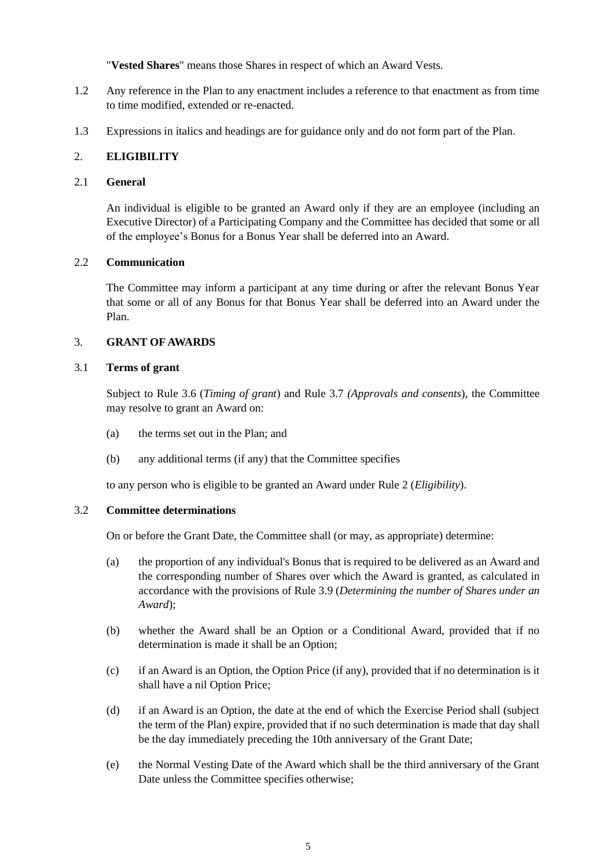"**Vested Shares**" means those Shares in respect of which an Award Vests.

- 1.2 Any reference in the Plan to any enactment includes a reference to that enactment as from time to time modified, extended or re-enacted.
- 1.3 Expressions in italics and headings are for guidance only and do not form part of the Plan.

# 2. **ELIGIBILITY**

#### 2.1 **General**

An individual is eligible to be granted an Award only if they are an employee (including an Executive Director) of a Participating Company and the Committee has decided that some or all of the employee's Bonus for a Bonus Year shall be deferred into an Award.

#### 2.2 **Communication**

The Committee may inform a participant at any time during or after the relevant Bonus Year that some or all of any Bonus for that Bonus Year shall be deferred into an Award under the Plan.

#### 3. **GRANT OF AWARDS**

#### 3.1 **Terms of grant**

Subject to Rule 3.6 (*Timing of grant*) and Rule 3.7 *(Approvals and consents*), the Committee may resolve to grant an Award on:

- (a) the terms set out in the Plan; and
- (b) any additional terms (if any) that the Committee specifies

to any person who is eligible to be granted an Award under Rule 2 (*Eligibility*).

# 3.2 **Committee determinations**

On or before the Grant Date, the Committee shall (or may, as appropriate) determine:

- (a) the proportion of any individual's Bonus that is required to be delivered as an Award and the corresponding number of Shares over which the Award is granted, as calculated in accordance with the provisions of Rule 3.9 (*Determining the number of Shares under an Award*);
- (b) whether the Award shall be an Option or a Conditional Award, provided that if no determination is made it shall be an Option;
- (c) if an Award is an Option, the Option Price (if any), provided that if no determination is it shall have a nil Option Price;
- (d) if an Award is an Option, the date at the end of which the Exercise Period shall (subject the term of the Plan) expire, provided that if no such determination is made that day shall be the day immediately preceding the 10th anniversary of the Grant Date;
- (e) the Normal Vesting Date of the Award which shall be the third anniversary of the Grant Date unless the Committee specifies otherwise;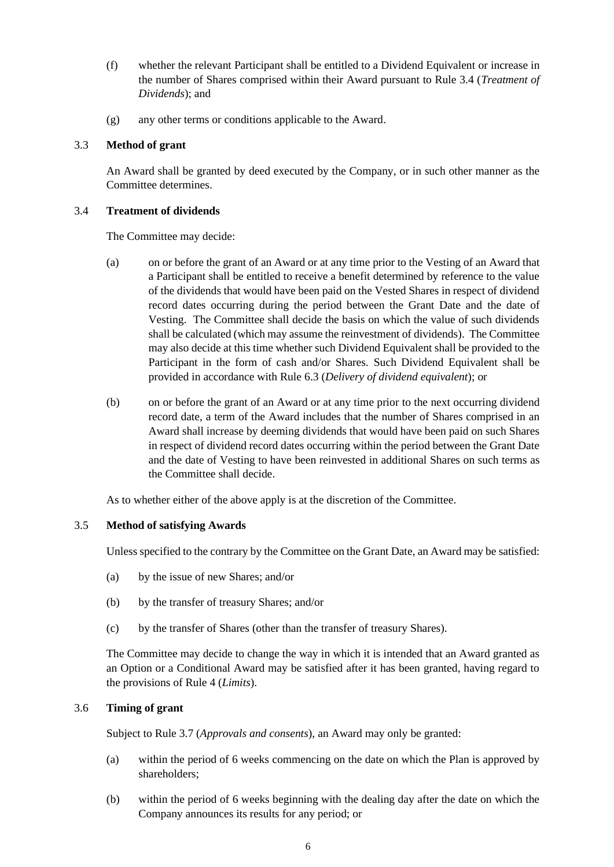- (f) whether the relevant Participant shall be entitled to a Dividend Equivalent or increase in the number of Shares comprised within their Award pursuant to Rule 3.4 (*Treatment of Dividends*); and
- (g) any other terms or conditions applicable to the Award.

# 3.3 **Method of grant**

An Award shall be granted by deed executed by the Company, or in such other manner as the Committee determines.

#### 3.4 **Treatment of dividends**

The Committee may decide:

- (a) on or before the grant of an Award or at any time prior to the Vesting of an Award that a Participant shall be entitled to receive a benefit determined by reference to the value of the dividends that would have been paid on the Vested Shares in respect of dividend record dates occurring during the period between the Grant Date and the date of Vesting. The Committee shall decide the basis on which the value of such dividends shall be calculated (which may assume the reinvestment of dividends). The Committee may also decide at this time whether such Dividend Equivalent shall be provided to the Participant in the form of cash and/or Shares. Such Dividend Equivalent shall be provided in accordance with Rule 6.3 (*Delivery of dividend equivalent*); or
- (b) on or before the grant of an Award or at any time prior to the next occurring dividend record date, a term of the Award includes that the number of Shares comprised in an Award shall increase by deeming dividends that would have been paid on such Shares in respect of dividend record dates occurring within the period between the Grant Date and the date of Vesting to have been reinvested in additional Shares on such terms as the Committee shall decide.

As to whether either of the above apply is at the discretion of the Committee.

# 3.5 **Method of satisfying Awards**

Unless specified to the contrary by the Committee on the Grant Date, an Award may be satisfied:

- (a) by the issue of new Shares; and/or
- (b) by the transfer of treasury Shares; and/or
- (c) by the transfer of Shares (other than the transfer of treasury Shares).

The Committee may decide to change the way in which it is intended that an Award granted as an Option or a Conditional Award may be satisfied after it has been granted, having regard to the provisions of Rule 4 (*Limits*).

# 3.6 **Timing of grant**

Subject to Rule 3.7 (*Approvals and consents*), an Award may only be granted:

- (a) within the period of 6 weeks commencing on the date on which the Plan is approved by shareholders;
- (b) within the period of 6 weeks beginning with the dealing day after the date on which the Company announces its results for any period; or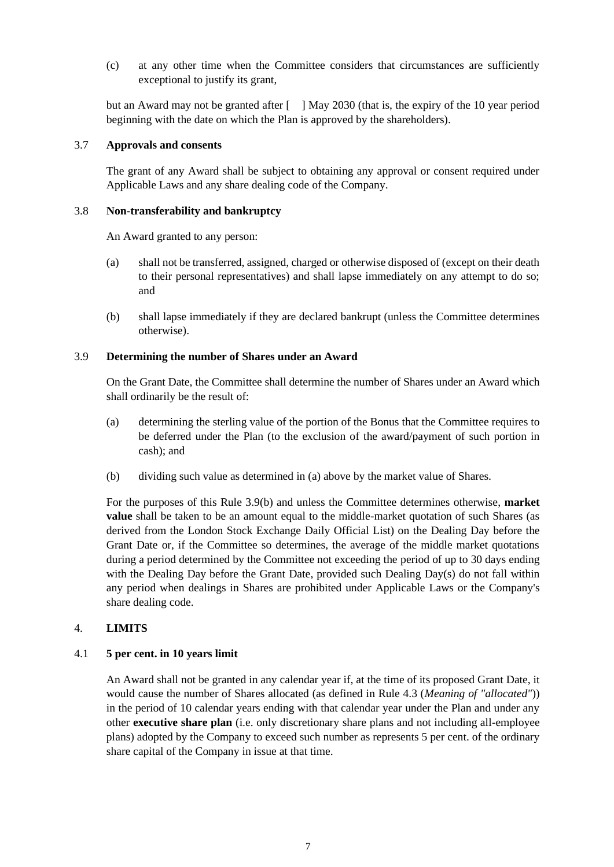(c) at any other time when the Committee considers that circumstances are sufficiently exceptional to justify its grant,

but an Award may not be granted after [ ] May 2030 (that is, the expiry of the 10 year period beginning with the date on which the Plan is approved by the shareholders).

#### 3.7 **Approvals and consents**

The grant of any Award shall be subject to obtaining any approval or consent required under Applicable Laws and any share dealing code of the Company.

#### 3.8 **Non-transferability and bankruptcy**

An Award granted to any person:

- (a) shall not be transferred, assigned, charged or otherwise disposed of (except on their death to their personal representatives) and shall lapse immediately on any attempt to do so; and
- (b) shall lapse immediately if they are declared bankrupt (unless the Committee determines otherwise).

#### 3.9 **Determining the number of Shares under an Award**

On the Grant Date, the Committee shall determine the number of Shares under an Award which shall ordinarily be the result of:

- (a) determining the sterling value of the portion of the Bonus that the Committee requires to be deferred under the Plan (to the exclusion of the award/payment of such portion in cash); and
- (b) dividing such value as determined in (a) above by the market value of Shares.

For the purposes of this Rule 3.9(b) and unless the Committee determines otherwise, **market value** shall be taken to be an amount equal to the middle-market quotation of such Shares (as derived from the London Stock Exchange Daily Official List) on the Dealing Day before the Grant Date or, if the Committee so determines, the average of the middle market quotations during a period determined by the Committee not exceeding the period of up to 30 days ending with the Dealing Day before the Grant Date, provided such Dealing Day(s) do not fall within any period when dealings in Shares are prohibited under Applicable Laws or the Company's share dealing code.

#### 4. **LIMITS**

#### 4.1 **5 per cent. in 10 years limit**

An Award shall not be granted in any calendar year if, at the time of its proposed Grant Date, it would cause the number of Shares allocated (as defined in Rule 4.3 (*Meaning of "allocated"*)) in the period of 10 calendar years ending with that calendar year under the Plan and under any other **executive share plan** (i.e. only discretionary share plans and not including all-employee plans) adopted by the Company to exceed such number as represents 5 per cent. of the ordinary share capital of the Company in issue at that time.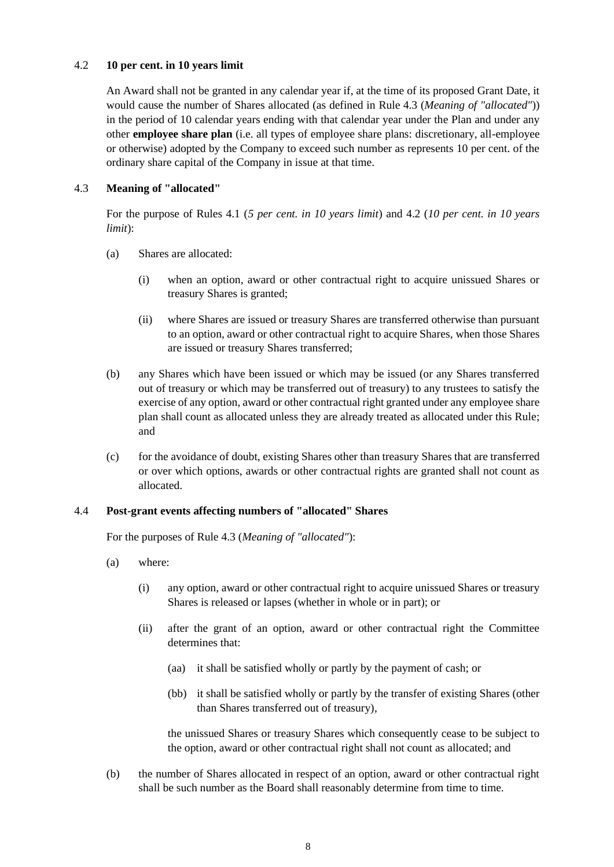#### 4.2 **10 per cent. in 10 years limit**

An Award shall not be granted in any calendar year if, at the time of its proposed Grant Date, it would cause the number of Shares allocated (as defined in Rule 4.3 (*Meaning of "allocated"*)) in the period of 10 calendar years ending with that calendar year under the Plan and under any other **employee share plan** (i.e. all types of employee share plans: discretionary, all-employee or otherwise) adopted by the Company to exceed such number as represents 10 per cent. of the ordinary share capital of the Company in issue at that time.

# 4.3 **Meaning of "allocated"**

For the purpose of Rules 4.1 (*5 per cent. in 10 years limit*) and 4.2 (*10 per cent. in 10 years limit*):

- (a) Shares are allocated:
	- (i) when an option, award or other contractual right to acquire unissued Shares or treasury Shares is granted;
	- (ii) where Shares are issued or treasury Shares are transferred otherwise than pursuant to an option, award or other contractual right to acquire Shares, when those Shares are issued or treasury Shares transferred;
- (b) any Shares which have been issued or which may be issued (or any Shares transferred out of treasury or which may be transferred out of treasury) to any trustees to satisfy the exercise of any option, award or other contractual right granted under any employee share plan shall count as allocated unless they are already treated as allocated under this Rule; and
- (c) for the avoidance of doubt, existing Shares other than treasury Shares that are transferred or over which options, awards or other contractual rights are granted shall not count as allocated.

#### 4.4 **Post-grant events affecting numbers of "allocated" Shares**

For the purposes of Rule 4.3 (*Meaning of "allocated"*):

- (a) where:
	- (i) any option, award or other contractual right to acquire unissued Shares or treasury Shares is released or lapses (whether in whole or in part); or
	- (ii) after the grant of an option, award or other contractual right the Committee determines that:
		- (aa) it shall be satisfied wholly or partly by the payment of cash; or
		- (bb) it shall be satisfied wholly or partly by the transfer of existing Shares (other than Shares transferred out of treasury),

the unissued Shares or treasury Shares which consequently cease to be subject to the option, award or other contractual right shall not count as allocated; and

(b) the number of Shares allocated in respect of an option, award or other contractual right shall be such number as the Board shall reasonably determine from time to time.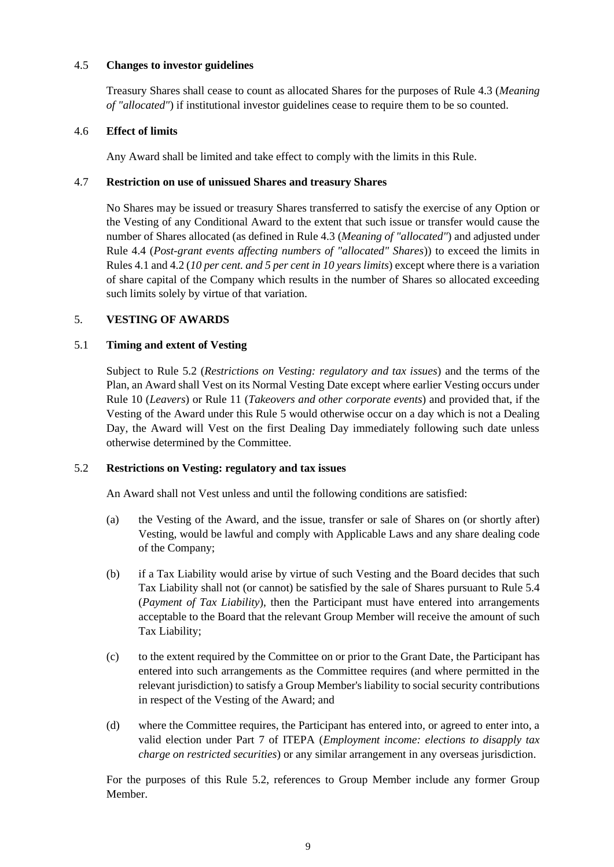#### 4.5 **Changes to investor guidelines**

Treasury Shares shall cease to count as allocated Shares for the purposes of Rule 4.3 (*Meaning of "allocated"*) if institutional investor guidelines cease to require them to be so counted.

#### 4.6 **Effect of limits**

Any Award shall be limited and take effect to comply with the limits in this Rule.

#### 4.7 **Restriction on use of unissued Shares and treasury Shares**

No Shares may be issued or treasury Shares transferred to satisfy the exercise of any Option or the Vesting of any Conditional Award to the extent that such issue or transfer would cause the number of Shares allocated (as defined in Rule 4.3 (*Meaning of "allocated"*) and adjusted under Rule 4.4 (*Post-grant events affecting numbers of "allocated" Shares*)) to exceed the limits in Rules 4.1 and 4.2 (*10 per cent. and 5 per cent in 10 years limits*) except where there is a variation of share capital of the Company which results in the number of Shares so allocated exceeding such limits solely by virtue of that variation.

# 5. **VESTING OF AWARDS**

#### 5.1 **Timing and extent of Vesting**

Subject to Rule 5.2 (*Restrictions on Vesting: regulatory and tax issues*) and the terms of the Plan, an Award shall Vest on its Normal Vesting Date except where earlier Vesting occurs under Rule 10 (*Leavers*) or Rule 11 (*Takeovers and other corporate events*) and provided that, if the Vesting of the Award under this Rule 5 would otherwise occur on a day which is not a Dealing Day, the Award will Vest on the first Dealing Day immediately following such date unless otherwise determined by the Committee.

# 5.2 **Restrictions on Vesting: regulatory and tax issues**

An Award shall not Vest unless and until the following conditions are satisfied:

- (a) the Vesting of the Award, and the issue, transfer or sale of Shares on (or shortly after) Vesting, would be lawful and comply with Applicable Laws and any share dealing code of the Company;
- (b) if a Tax Liability would arise by virtue of such Vesting and the Board decides that such Tax Liability shall not (or cannot) be satisfied by the sale of Shares pursuant to Rule 5.4 (*Payment of Tax Liability*), then the Participant must have entered into arrangements acceptable to the Board that the relevant Group Member will receive the amount of such Tax Liability;
- (c) to the extent required by the Committee on or prior to the Grant Date, the Participant has entered into such arrangements as the Committee requires (and where permitted in the relevant jurisdiction) to satisfy a Group Member's liability to social security contributions in respect of the Vesting of the Award; and
- (d) where the Committee requires, the Participant has entered into, or agreed to enter into, a valid election under Part 7 of ITEPA (*Employment income: elections to disapply tax charge on restricted securities*) or any similar arrangement in any overseas jurisdiction.

For the purposes of this Rule 5.2, references to Group Member include any former Group Member.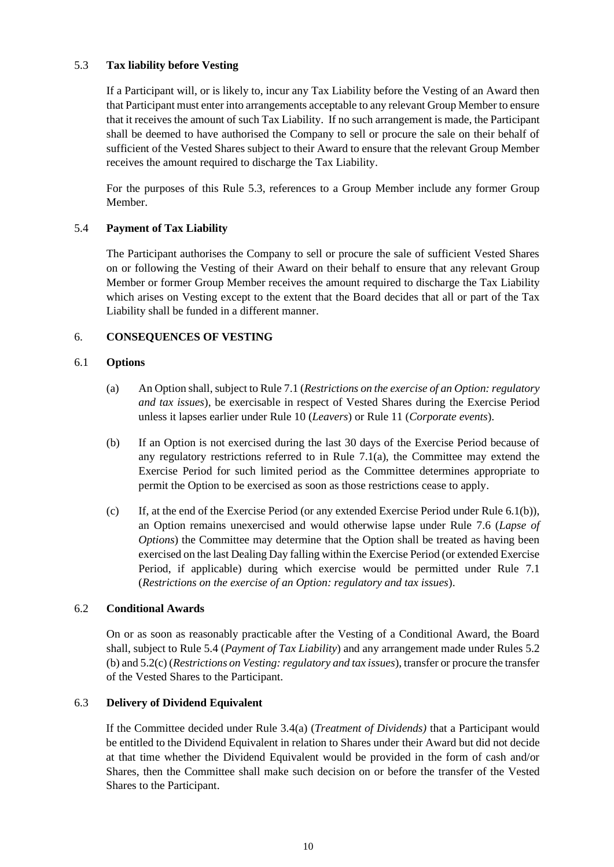# 5.3 **Tax liability before Vesting**

If a Participant will, or is likely to, incur any Tax Liability before the Vesting of an Award then that Participant must enter into arrangements acceptable to any relevant Group Member to ensure that it receives the amount of such Tax Liability. If no such arrangement is made, the Participant shall be deemed to have authorised the Company to sell or procure the sale on their behalf of sufficient of the Vested Shares subject to their Award to ensure that the relevant Group Member receives the amount required to discharge the Tax Liability.

For the purposes of this Rule 5.3, references to a Group Member include any former Group Member.

# 5.4 **Payment of Tax Liability**

The Participant authorises the Company to sell or procure the sale of sufficient Vested Shares on or following the Vesting of their Award on their behalf to ensure that any relevant Group Member or former Group Member receives the amount required to discharge the Tax Liability which arises on Vesting except to the extent that the Board decides that all or part of the Tax Liability shall be funded in a different manner.

# 6. **CONSEQUENCES OF VESTING**

#### 6.1 **Options**

- (a) An Option shall, subject to Rule 7.1 (*Restrictions on the exercise of an Option: regulatory and tax issues*), be exercisable in respect of Vested Shares during the Exercise Period unless it lapses earlier under Rule 10 (*Leavers*) or Rule 11 (*Corporate events*).
- (b) If an Option is not exercised during the last 30 days of the Exercise Period because of any regulatory restrictions referred to in Rule  $7.1(a)$ , the Committee may extend the Exercise Period for such limited period as the Committee determines appropriate to permit the Option to be exercised as soon as those restrictions cease to apply.
- (c) If, at the end of the Exercise Period (or any extended Exercise Period under Rule  $6.1(b)$ ), an Option remains unexercised and would otherwise lapse under Rule 7.6 (*Lapse of Options*) the Committee may determine that the Option shall be treated as having been exercised on the last Dealing Day falling within the Exercise Period (or extended Exercise Period, if applicable) during which exercise would be permitted under Rule 7.1 (*Restrictions on the exercise of an Option: regulatory and tax issues*).

#### 6.2 **Conditional Awards**

On or as soon as reasonably practicable after the Vesting of a Conditional Award, the Board shall, subject to Rule 5.4 (*Payment of Tax Liability*) and any arrangement made under Rules 5.2 (b) and 5.2(c) (*Restrictions on Vesting: regulatory and tax issues*), transfer or procure the transfer of the Vested Shares to the Participant.

#### 6.3 **Delivery of Dividend Equivalent**

If the Committee decided under Rule 3.4(a) (*Treatment of Dividends)* that a Participant would be entitled to the Dividend Equivalent in relation to Shares under their Award but did not decide at that time whether the Dividend Equivalent would be provided in the form of cash and/or Shares, then the Committee shall make such decision on or before the transfer of the Vested Shares to the Participant.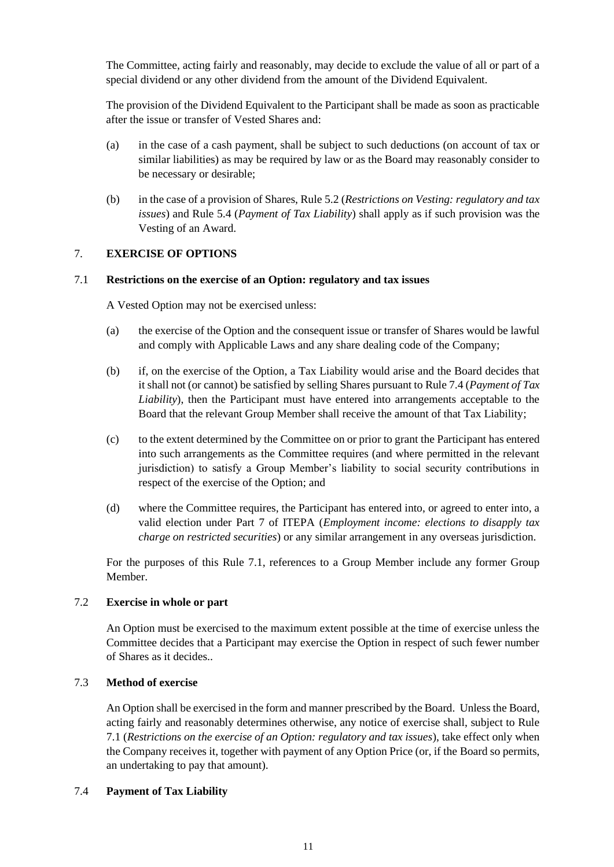The Committee, acting fairly and reasonably, may decide to exclude the value of all or part of a special dividend or any other dividend from the amount of the Dividend Equivalent.

The provision of the Dividend Equivalent to the Participant shall be made as soon as practicable after the issue or transfer of Vested Shares and:

- (a) in the case of a cash payment, shall be subject to such deductions (on account of tax or similar liabilities) as may be required by law or as the Board may reasonably consider to be necessary or desirable;
- (b) in the case of a provision of Shares, Rule 5.2 (*Restrictions on Vesting: regulatory and tax issues*) and Rule 5.4 (*Payment of Tax Liability*) shall apply as if such provision was the Vesting of an Award.

# 7. **EXERCISE OF OPTIONS**

#### 7.1 **Restrictions on the exercise of an Option: regulatory and tax issues**

A Vested Option may not be exercised unless:

- (a) the exercise of the Option and the consequent issue or transfer of Shares would be lawful and comply with Applicable Laws and any share dealing code of the Company;
- (b) if, on the exercise of the Option, a Tax Liability would arise and the Board decides that it shall not (or cannot) be satisfied by selling Shares pursuant to Rule 7.4 (*Payment of Tax Liability*), then the Participant must have entered into arrangements acceptable to the Board that the relevant Group Member shall receive the amount of that Tax Liability;
- (c) to the extent determined by the Committee on or prior to grant the Participant has entered into such arrangements as the Committee requires (and where permitted in the relevant jurisdiction) to satisfy a Group Member's liability to social security contributions in respect of the exercise of the Option; and
- (d) where the Committee requires, the Participant has entered into, or agreed to enter into, a valid election under Part 7 of ITEPA (*Employment income: elections to disapply tax charge on restricted securities*) or any similar arrangement in any overseas jurisdiction.

For the purposes of this Rule 7.1, references to a Group Member include any former Group Member.

# 7.2 **Exercise in whole or part**

An Option must be exercised to the maximum extent possible at the time of exercise unless the Committee decides that a Participant may exercise the Option in respect of such fewer number of Shares as it decides..

#### 7.3 **Method of exercise**

An Option shall be exercised in the form and manner prescribed by the Board. Unless the Board, acting fairly and reasonably determines otherwise, any notice of exercise shall, subject to Rule 7.1 (*Restrictions on the exercise of an Option: regulatory and tax issues*), take effect only when the Company receives it, together with payment of any Option Price (or, if the Board so permits, an undertaking to pay that amount).

## 7.4 **Payment of Tax Liability**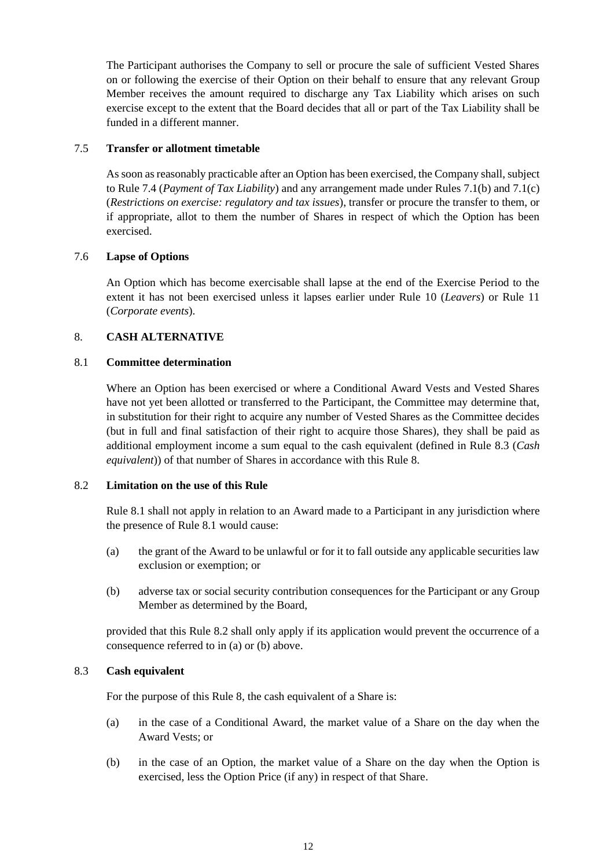The Participant authorises the Company to sell or procure the sale of sufficient Vested Shares on or following the exercise of their Option on their behalf to ensure that any relevant Group Member receives the amount required to discharge any Tax Liability which arises on such exercise except to the extent that the Board decides that all or part of the Tax Liability shall be funded in a different manner.

#### 7.5 **Transfer or allotment timetable**

As soon as reasonably practicable after an Option has been exercised, the Company shall, subject to Rule 7.4 (*Payment of Tax Liability*) and any arrangement made under Rules 7.1(b) and 7.1(c) (*Restrictions on exercise: regulatory and tax issues*), transfer or procure the transfer to them, or if appropriate, allot to them the number of Shares in respect of which the Option has been exercised.

#### 7.6 **Lapse of Options**

An Option which has become exercisable shall lapse at the end of the Exercise Period to the extent it has not been exercised unless it lapses earlier under Rule 10 (*Leavers*) or Rule 11 (*Corporate events*).

#### 8. **CASH ALTERNATIVE**

#### 8.1 **Committee determination**

Where an Option has been exercised or where a Conditional Award Vests and Vested Shares have not yet been allotted or transferred to the Participant, the Committee may determine that, in substitution for their right to acquire any number of Vested Shares as the Committee decides (but in full and final satisfaction of their right to acquire those Shares), they shall be paid as additional employment income a sum equal to the cash equivalent (defined in Rule 8.3 (*Cash equivalent*)) of that number of Shares in accordance with this Rule 8.

#### 8.2 **Limitation on the use of this Rule**

Rule 8.1 shall not apply in relation to an Award made to a Participant in any jurisdiction where the presence of Rule 8.1 would cause:

- (a) the grant of the Award to be unlawful or for it to fall outside any applicable securities law exclusion or exemption; or
- (b) adverse tax or social security contribution consequences for the Participant or any Group Member as determined by the Board,

provided that this Rule 8.2 shall only apply if its application would prevent the occurrence of a consequence referred to in (a) or (b) above.

# 8.3 **Cash equivalent**

For the purpose of this Rule 8, the cash equivalent of a Share is:

- (a) in the case of a Conditional Award, the market value of a Share on the day when the Award Vests; or
- (b) in the case of an Option, the market value of a Share on the day when the Option is exercised, less the Option Price (if any) in respect of that Share.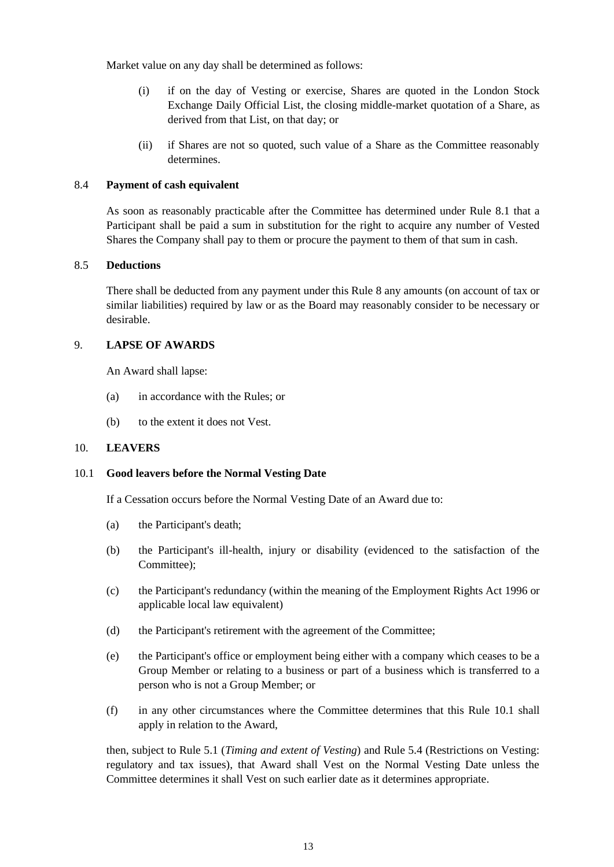Market value on any day shall be determined as follows:

- (i) if on the day of Vesting or exercise, Shares are quoted in the London Stock Exchange Daily Official List, the closing middle-market quotation of a Share, as derived from that List, on that day; or
- (ii) if Shares are not so quoted, such value of a Share as the Committee reasonably determines.

#### 8.4 **Payment of cash equivalent**

As soon as reasonably practicable after the Committee has determined under Rule 8.1 that a Participant shall be paid a sum in substitution for the right to acquire any number of Vested Shares the Company shall pay to them or procure the payment to them of that sum in cash.

# 8.5 **Deductions**

There shall be deducted from any payment under this Rule 8 any amounts (on account of tax or similar liabilities) required by law or as the Board may reasonably consider to be necessary or desirable.

#### 9. **LAPSE OF AWARDS**

An Award shall lapse:

- (a) in accordance with the Rules; or
- (b) to the extent it does not Vest.

# 10. **LEAVERS**

#### 10.1 **Good leavers before the Normal Vesting Date**

If a Cessation occurs before the Normal Vesting Date of an Award due to:

- (a) the Participant's death;
- (b) the Participant's ill-health, injury or disability (evidenced to the satisfaction of the Committee);
- (c) the Participant's redundancy (within the meaning of the Employment Rights Act 1996 or applicable local law equivalent)
- (d) the Participant's retirement with the agreement of the Committee;
- (e) the Participant's office or employment being either with a company which ceases to be a Group Member or relating to a business or part of a business which is transferred to a person who is not a Group Member; or
- (f) in any other circumstances where the Committee determines that this Rule 10.1 shall apply in relation to the Award,

then, subject to Rule 5.1 (*Timing and extent of Vesting*) and Rule 5.4 (Restrictions on Vesting: regulatory and tax issues), that Award shall Vest on the Normal Vesting Date unless the Committee determines it shall Vest on such earlier date as it determines appropriate.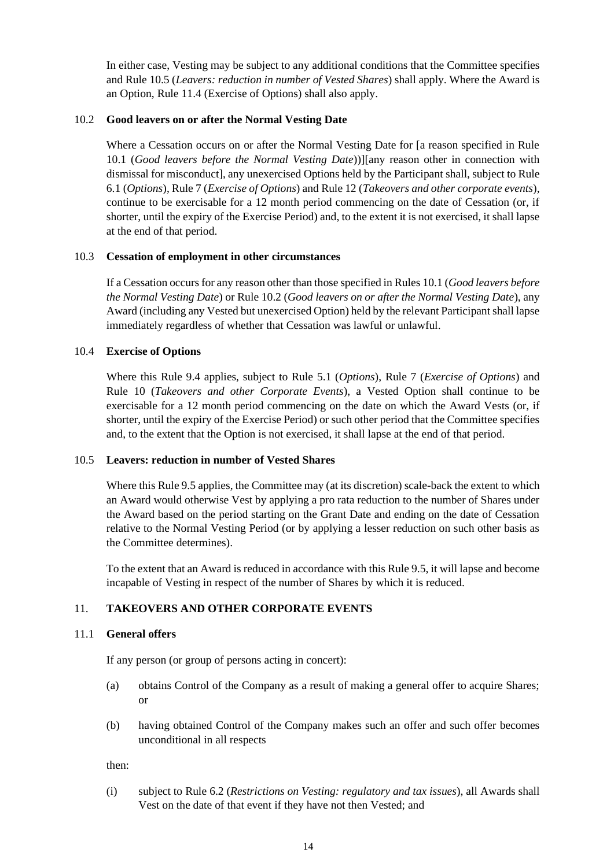In either case, Vesting may be subject to any additional conditions that the Committee specifies and Rule 10.5 (*Leavers: reduction in number of Vested Shares*) shall apply. Where the Award is an Option, Rule 11.4 (Exercise of Options) shall also apply.

#### <span id="page-13-0"></span>10.2 **Good leavers on or after the Normal Vesting Date**

Where a Cessation occurs on or after the Normal Vesting Date for [a reason specified in Rule 10.1 (*Good leavers before the Normal Vesting Date*))][any reason other in connection with dismissal for misconduct], any unexercised Options held by the Participant shall, subject to Rule 6.1 (*Options*), Rule 7 (*Exercise of Options*) and Rule 12 (*Takeovers and other corporate events*), continue to be exercisable for a 12 month period commencing on the date of Cessation (or, if shorter, until the expiry of the Exercise Period) and, to the extent it is not exercised, it shall lapse at the end of that period.

#### 10.3 **Cessation of employment in other circumstances**

If a Cessation occurs for any reason other than those specified in Rules 10.1 (*Good leavers before the Normal Vesting Date*) or Rul[e 10.2](#page-13-0) (*[Good leavers on or after the Normal Vesting Date](#page-13-0)*), any Award (including any Vested but unexercised Option) held by the relevant Participant shall lapse immediately regardless of whether that Cessation was lawful or unlawful.

#### 10.4 **Exercise of Options**

Where this Rule 9.4 applies, subject to Rule 5.1 (*Options*), Rule 7 (*Exercise of Options*) and Rule 10 (*Takeovers and other Corporate Events*), a Vested Option shall continue to be exercisable for a 12 month period commencing on the date on which the Award Vests (or, if shorter, until the expiry of the Exercise Period) or such other period that the Committee specifies and, to the extent that the Option is not exercised, it shall lapse at the end of that period.

#### 10.5 **Leavers: reduction in number of Vested Shares**

Where this Rule 9.5 applies, the Committee may (at its discretion) scale-back the extent to which an Award would otherwise Vest by applying a pro rata reduction to the number of Shares under the Award based on the period starting on the Grant Date and ending on the date of Cessation relative to the Normal Vesting Period (or by applying a lesser reduction on such other basis as the Committee determines).

To the extent that an Award is reduced in accordance with this Rule 9.5, it will lapse and become incapable of Vesting in respect of the number of Shares by which it is reduced.

# 11. **TAKEOVERS AND OTHER CORPORATE EVENTS**

#### 11.1 **General offers**

If any person (or group of persons acting in concert):

- (a) obtains Control of the Company as a result of making a general offer to acquire Shares; or
- (b) having obtained Control of the Company makes such an offer and such offer becomes unconditional in all respects

then:

(i) subject to Rule 6.2 (*Restrictions on Vesting: regulatory and tax issues*), all Awards shall Vest on the date of that event if they have not then Vested; and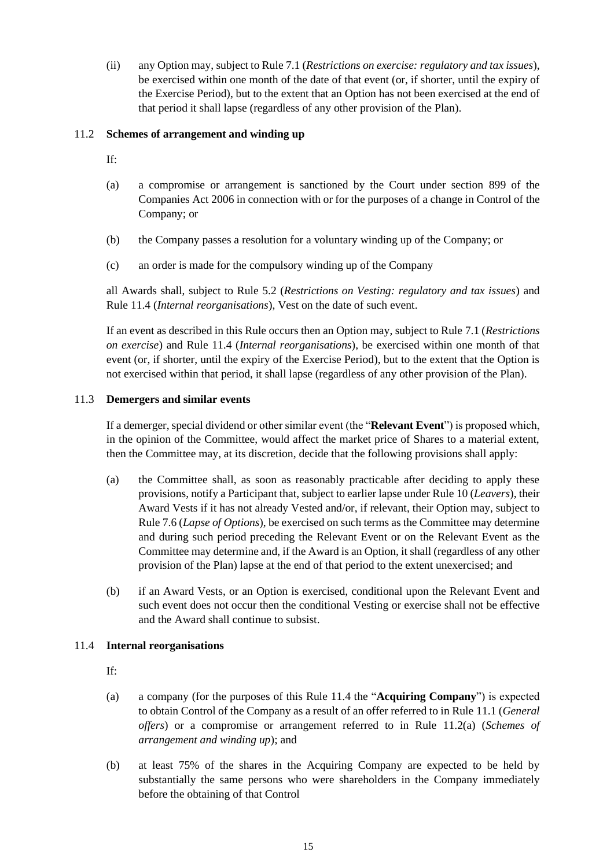(ii) any Option may, subject to Rule 7.1 (*Restrictions on exercise: regulatory and tax issues*), be exercised within one month of the date of that event (or, if shorter, until the expiry of the Exercise Period), but to the extent that an Option has not been exercised at the end of that period it shall lapse (regardless of any other provision of the Plan).

# 11.2 **Schemes of arrangement and winding up**

If:

- (a) a compromise or arrangement is sanctioned by the Court under section 899 of the Companies Act 2006 in connection with or for the purposes of a change in Control of the Company; or
- (b) the Company passes a resolution for a voluntary winding up of the Company; or
- (c) an order is made for the compulsory winding up of the Company

all Awards shall, subject to Rule 5.2 (*Restrictions on Vesting: regulatory and tax issues*) and Rule 11.4 (*Internal reorganisations*), Vest on the date of such event.

If an event as described in this Rule occurs then an Option may, subject to Rule 7.1 (*Restrictions on exercise*) and Rule 11.4 (*Internal reorganisations*), be exercised within one month of that event (or, if shorter, until the expiry of the Exercise Period), but to the extent that the Option is not exercised within that period, it shall lapse (regardless of any other provision of the Plan).

#### 11.3 **Demergers and similar events**

If a demerger, special dividend or other similar event (the "**Relevant Event**") is proposed which, in the opinion of the Committee, would affect the market price of Shares to a material extent, then the Committee may, at its discretion, decide that the following provisions shall apply:

- (a) the Committee shall, as soon as reasonably practicable after deciding to apply these provisions, notify a Participant that, subject to earlier lapse under Rule 10 (*Leavers*), their Award Vests if it has not already Vested and/or, if relevant, their Option may, subject to Rule 7.6 (*Lapse of Options*), be exercised on such terms as the Committee may determine and during such period preceding the Relevant Event or on the Relevant Event as the Committee may determine and, if the Award is an Option, it shall (regardless of any other provision of the Plan) lapse at the end of that period to the extent unexercised; and
- (b) if an Award Vests, or an Option is exercised, conditional upon the Relevant Event and such event does not occur then the conditional Vesting or exercise shall not be effective and the Award shall continue to subsist.

#### 11.4 **Internal reorganisations**

If:

- (a) a company (for the purposes of this Rule 11.4 the "**Acquiring Company**") is expected to obtain Control of the Company as a result of an offer referred to in Rule 11.1 (*General offers*) or a compromise or arrangement referred to in Rule 11.2(a) (*Schemes of arrangement and winding up*); and
- (b) at least 75% of the shares in the Acquiring Company are expected to be held by substantially the same persons who were shareholders in the Company immediately before the obtaining of that Control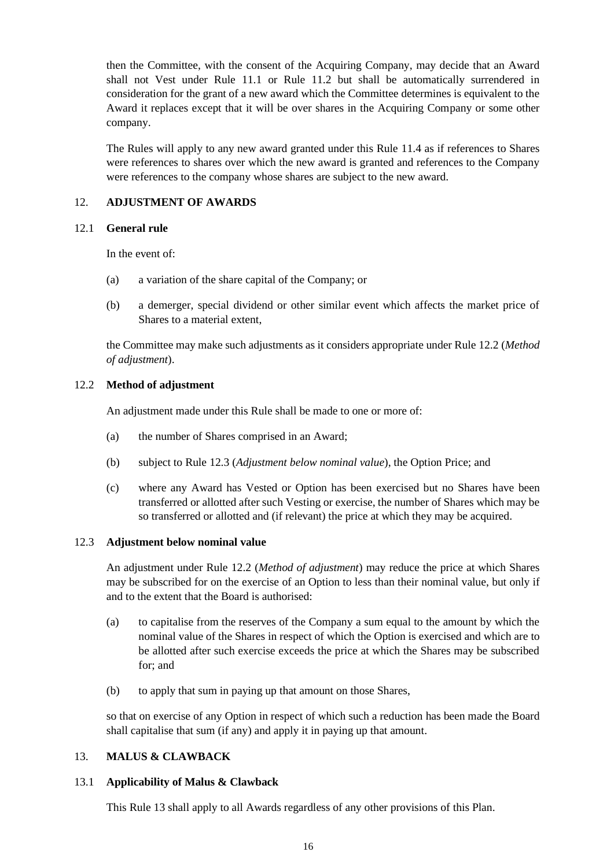then the Committee, with the consent of the Acquiring Company, may decide that an Award shall not Vest under Rule 11.1 or Rule 11.2 but shall be automatically surrendered in consideration for the grant of a new award which the Committee determines is equivalent to the Award it replaces except that it will be over shares in the Acquiring Company or some other company.

The Rules will apply to any new award granted under this Rule 11.4 as if references to Shares were references to shares over which the new award is granted and references to the Company were references to the company whose shares are subject to the new award.

#### 12. **ADJUSTMENT OF AWARDS**

#### 12.1 **General rule**

In the event of:

- (a) a variation of the share capital of the Company; or
- (b) a demerger, special dividend or other similar event which affects the market price of Shares to a material extent,

the Committee may make such adjustments as it considers appropriate under Rule 12.2 (*[Method](#page-15-0)  [of adjustment](#page-15-0)*).

#### <span id="page-15-0"></span>12.2 **Method of adjustment**

An adjustment made under this Rule shall be made to one or more of:

- (a) the number of Shares comprised in an Award;
- (b) subject to Rule 12.3 (*[Adjustment below nominal value](#page-15-1)*), the Option Price; and
- (c) where any Award has Vested or Option has been exercised but no Shares have been transferred or allotted after such Vesting or exercise, the number of Shares which may be so transferred or allotted and (if relevant) the price at which they may be acquired.

#### <span id="page-15-1"></span>12.3 **Adjustment below nominal value**

An adjustment under Rule 12.2 (*[Method of adjustment](#page-15-0)*) may reduce the price at which Shares may be subscribed for on the exercise of an Option to less than their nominal value, but only if and to the extent that the Board is authorised:

- (a) to capitalise from the reserves of the Company a sum equal to the amount by which the nominal value of the Shares in respect of which the Option is exercised and which are to be allotted after such exercise exceeds the price at which the Shares may be subscribed for; and
- (b) to apply that sum in paying up that amount on those Shares,

so that on exercise of any Option in respect of which such a reduction has been made the Board shall capitalise that sum (if any) and apply it in paying up that amount.

# 13. **MALUS & CLAWBACK**

#### 13.1 **Applicability of Malus & Clawback**

This Rule 13 shall apply to all Awards regardless of any other provisions of this Plan.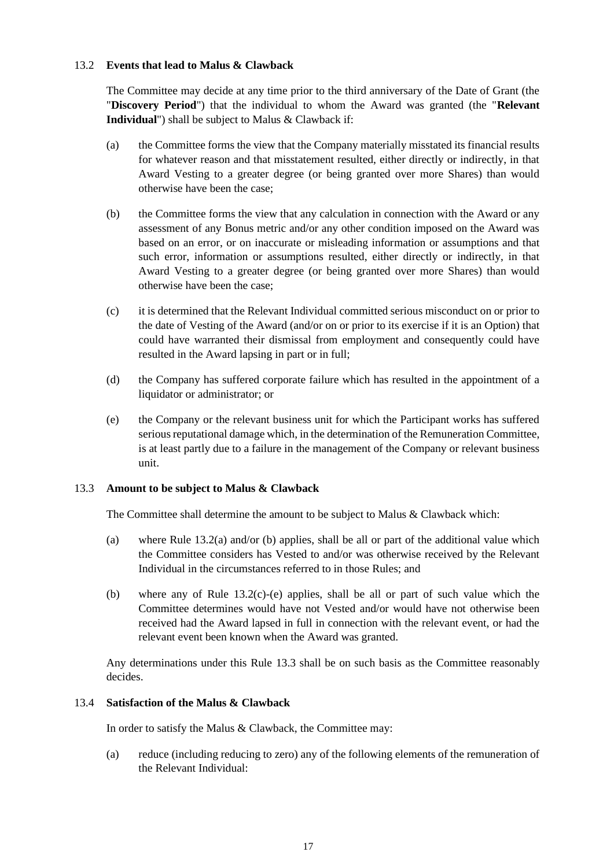#### 13.2 **Events that lead to Malus & Clawback**

The Committee may decide at any time prior to the third anniversary of the Date of Grant (the "**Discovery Period**") that the individual to whom the Award was granted (the "**Relevant Individual**") shall be subject to Malus & Clawback if:

- (a) the Committee forms the view that the Company materially misstated its financial results for whatever reason and that misstatement resulted, either directly or indirectly, in that Award Vesting to a greater degree (or being granted over more Shares) than would otherwise have been the case;
- <span id="page-16-0"></span>(b) the Committee forms the view that any calculation in connection with the Award or any assessment of any Bonus metric and/or any other condition imposed on the Award was based on an error, or on inaccurate or misleading information or assumptions and that such error, information or assumptions resulted, either directly or indirectly, in that Award Vesting to a greater degree (or being granted over more Shares) than would otherwise have been the case;
- (c) it is determined that the Relevant Individual committed serious misconduct on or prior to the date of Vesting of the Award (and/or on or prior to its exercise if it is an Option) that could have warranted their dismissal from employment and consequently could have resulted in the Award lapsing in part or in full;
- (d) the Company has suffered corporate failure which has resulted in the appointment of a liquidator or administrator; or
- (e) the Company or the relevant business unit for which the Participant works has suffered serious reputational damage which, in the determination of the Remuneration Committee, is at least partly due to a failure in the management of the Company or relevant business unit.

#### 13.3 **Amount to be subject to Malus & Clawback**

The Committee shall determine the amount to be subject to Malus & Clawback which:

- (a) where Rule 13.2(a) and/or [\(b\)](#page-16-0) applies, shall be all or part of the additional value which the Committee considers has Vested to and/or was otherwise received by the Relevant Individual in the circumstances referred to in those Rules; and
- (b) where any of Rule 13.2(c)-(e) applies, shall be all or part of such value which the Committee determines would have not Vested and/or would have not otherwise been received had the Award lapsed in full in connection with the relevant event, or had the relevant event been known when the Award was granted.

Any determinations under this Rule 13.3 shall be on such basis as the Committee reasonably decides.

#### 13.4 **Satisfaction of the Malus & Clawback**

In order to satisfy the Malus & Clawback, the Committee may:

(a) reduce (including reducing to zero) any of the following elements of the remuneration of the Relevant Individual: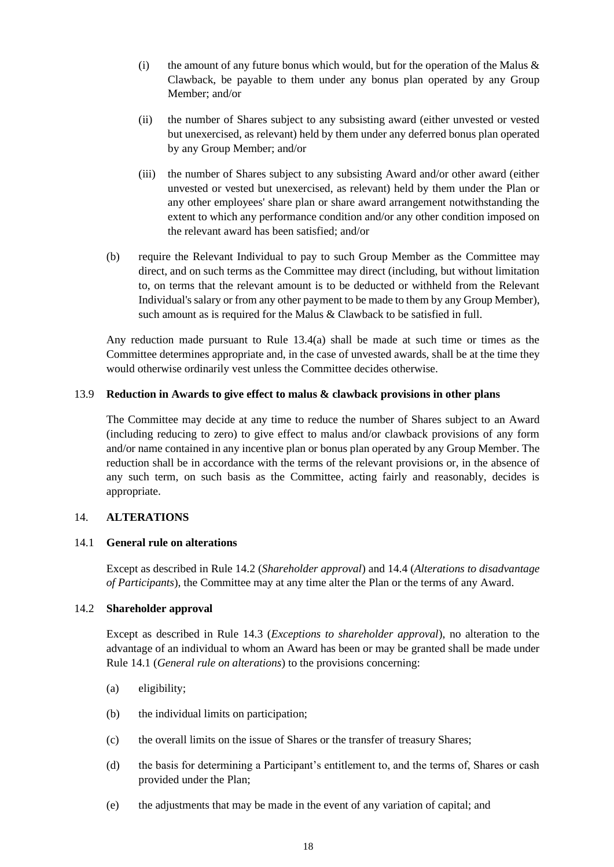- (i) the amount of any future bonus which would, but for the operation of the Malus  $\&$ Clawback, be payable to them under any bonus plan operated by any Group Member; and/or
- (ii) the number of Shares subject to any subsisting award (either unvested or vested but unexercised, as relevant) held by them under any deferred bonus plan operated by any Group Member; and/or
- (iii) the number of Shares subject to any subsisting Award and/or other award (either unvested or vested but unexercised, as relevant) held by them under the Plan or any other employees' share plan or share award arrangement notwithstanding the extent to which any performance condition and/or any other condition imposed on the relevant award has been satisfied; and/or
- (b) require the Relevant Individual to pay to such Group Member as the Committee may direct, and on such terms as the Committee may direct (including, but without limitation to, on terms that the relevant amount is to be deducted or withheld from the Relevant Individual's salary or from any other payment to be made to them by any Group Member), such amount as is required for the Malus & Clawback to be satisfied in full.

Any reduction made pursuant to Rule 13.4(a) shall be made at such time or times as the Committee determines appropriate and, in the case of unvested awards, shall be at the time they would otherwise ordinarily vest unless the Committee decides otherwise.

#### 13.9 **Reduction in Awards to give effect to malus & clawback provisions in other plans**

The Committee may decide at any time to reduce the number of Shares subject to an Award (including reducing to zero) to give effect to malus and/or clawback provisions of any form and/or name contained in any incentive plan or bonus plan operated by any Group Member. The reduction shall be in accordance with the terms of the relevant provisions or, in the absence of any such term, on such basis as the Committee, acting fairly and reasonably, decides is appropriate.

#### 14. **ALTERATIONS**

#### 14.1 **General rule on alterations**

Except as described in Rule 14.2 (*Shareholder approval*) and 14.4 (*Alterations to disadvantage of Participants*), the Committee may at any time alter the Plan or the terms of any Award.

#### 14.2 **Shareholder approval**

Except as described in Rule 14.3 (*Exceptions to shareholder approval*), no alteration to the advantage of an individual to whom an Award has been or may be granted shall be made under Rule 14.1 (*General rule on alterations*) to the provisions concerning:

- (a) eligibility;
- (b) the individual limits on participation;
- (c) the overall limits on the issue of Shares or the transfer of treasury Shares;
- (d) the basis for determining a Participant's entitlement to, and the terms of, Shares or cash provided under the Plan;
- (e) the adjustments that may be made in the event of any variation of capital; and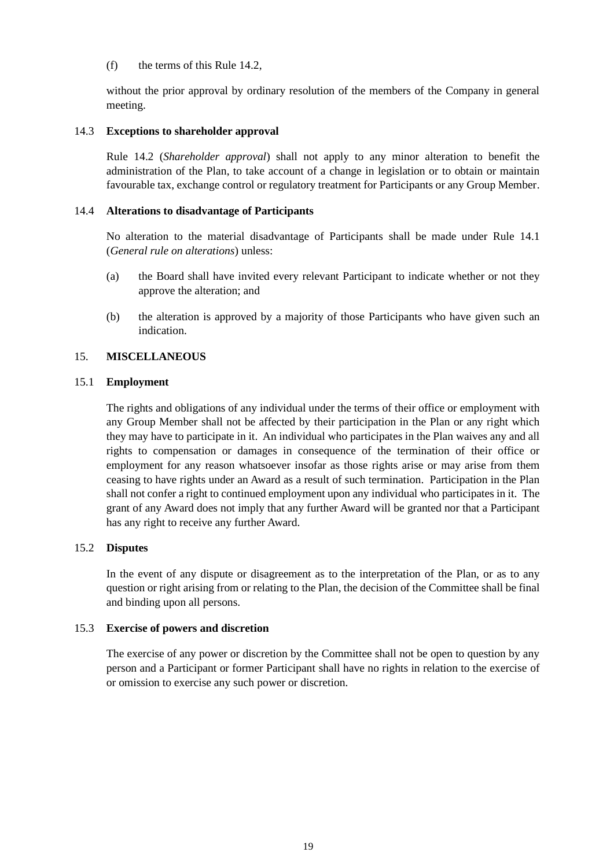#### (f) the terms of this Rule 14.2,

without the prior approval by ordinary resolution of the members of the Company in general meeting.

#### 14.3 **Exceptions to shareholder approval**

Rule 14.2 (*Shareholder approval*) shall not apply to any minor alteration to benefit the administration of the Plan, to take account of a change in legislation or to obtain or maintain favourable tax, exchange control or regulatory treatment for Participants or any Group Member.

# 14.4 **Alterations to disadvantage of Participants**

No alteration to the material disadvantage of Participants shall be made under Rule 14.1 (*General rule on alterations*) unless:

- (a) the Board shall have invited every relevant Participant to indicate whether or not they approve the alteration; and
- (b) the alteration is approved by a majority of those Participants who have given such an indication.

#### 15. **MISCELLANEOUS**

#### 15.1 **Employment**

The rights and obligations of any individual under the terms of their office or employment with any Group Member shall not be affected by their participation in the Plan or any right which they may have to participate in it. An individual who participates in the Plan waives any and all rights to compensation or damages in consequence of the termination of their office or employment for any reason whatsoever insofar as those rights arise or may arise from them ceasing to have rights under an Award as a result of such termination. Participation in the Plan shall not confer a right to continued employment upon any individual who participates in it. The grant of any Award does not imply that any further Award will be granted nor that a Participant has any right to receive any further Award.

# 15.2 **Disputes**

In the event of any dispute or disagreement as to the interpretation of the Plan, or as to any question or right arising from or relating to the Plan, the decision of the Committee shall be final and binding upon all persons.

#### 15.3 **Exercise of powers and discretion**

The exercise of any power or discretion by the Committee shall not be open to question by any person and a Participant or former Participant shall have no rights in relation to the exercise of or omission to exercise any such power or discretion.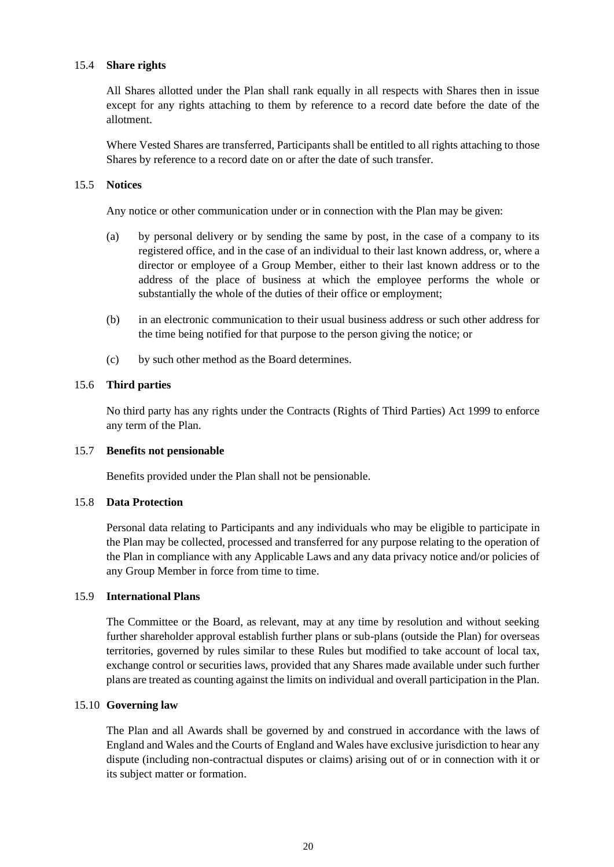#### 15.4 **Share rights**

All Shares allotted under the Plan shall rank equally in all respects with Shares then in issue except for any rights attaching to them by reference to a record date before the date of the allotment.

Where Vested Shares are transferred, Participants shall be entitled to all rights attaching to those Shares by reference to a record date on or after the date of such transfer.

#### 15.5 **Notices**

Any notice or other communication under or in connection with the Plan may be given:

- (a) by personal delivery or by sending the same by post, in the case of a company to its registered office, and in the case of an individual to their last known address, or, where a director or employee of a Group Member, either to their last known address or to the address of the place of business at which the employee performs the whole or substantially the whole of the duties of their office or employment;
- (b) in an electronic communication to their usual business address or such other address for the time being notified for that purpose to the person giving the notice; or
- (c) by such other method as the Board determines.

#### 15.6 **Third parties**

No third party has any rights under the Contracts (Rights of Third Parties) Act 1999 to enforce any term of the Plan.

#### 15.7 **Benefits not pensionable**

Benefits provided under the Plan shall not be pensionable.

#### 15.8 **Data Protection**

Personal data relating to Participants and any individuals who may be eligible to participate in the Plan may be collected, processed and transferred for any purpose relating to the operation of the Plan in compliance with any Applicable Laws and any data privacy notice and/or policies of any Group Member in force from time to time.

#### 15.9 **International Plans**

The Committee or the Board, as relevant, may at any time by resolution and without seeking further shareholder approval establish further plans or sub-plans (outside the Plan) for overseas territories, governed by rules similar to these Rules but modified to take account of local tax, exchange control or securities laws, provided that any Shares made available under such further plans are treated as counting against the limits on individual and overall participation in the Plan.

#### 15.10 **Governing law**

The Plan and all Awards shall be governed by and construed in accordance with the laws of England and Wales and the Courts of England and Wales have exclusive jurisdiction to hear any dispute (including non-contractual disputes or claims) arising out of or in connection with it or its subject matter or formation.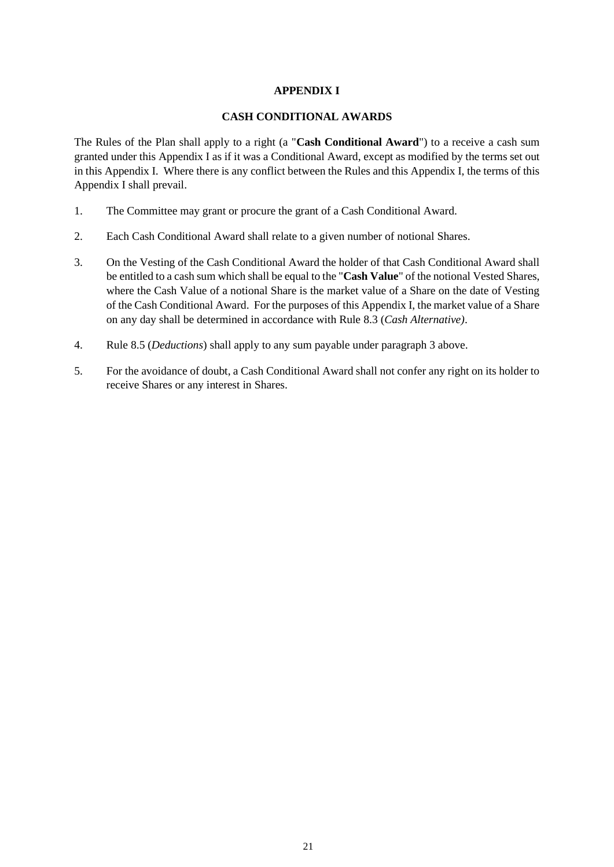# **APPENDIX I**

#### **CASH CONDITIONAL AWARDS**

The Rules of the Plan shall apply to a right (a "**Cash Conditional Award**") to a receive a cash sum granted under this Appendix I as if it was a Conditional Award, except as modified by the terms set out in this Appendix I. Where there is any conflict between the Rules and this Appendix I, the terms of this Appendix I shall prevail.

- 1. The Committee may grant or procure the grant of a Cash Conditional Award.
- 2. Each Cash Conditional Award shall relate to a given number of notional Shares.
- 3. On the Vesting of the Cash Conditional Award the holder of that Cash Conditional Award shall be entitled to a cash sum which shall be equal to the "**Cash Value**" of the notional Vested Shares, where the Cash Value of a notional Share is the market value of a Share on the date of Vesting of the Cash Conditional Award. For the purposes of this Appendix I, the market value of a Share on any day shall be determined in accordance with Rule 8.3 (*Cash Alternative)*.
- 4. Rule 8.5 (*Deductions*) shall apply to any sum payable under paragraph 3 above.
- 5. For the avoidance of doubt, a Cash Conditional Award shall not confer any right on its holder to receive Shares or any interest in Shares.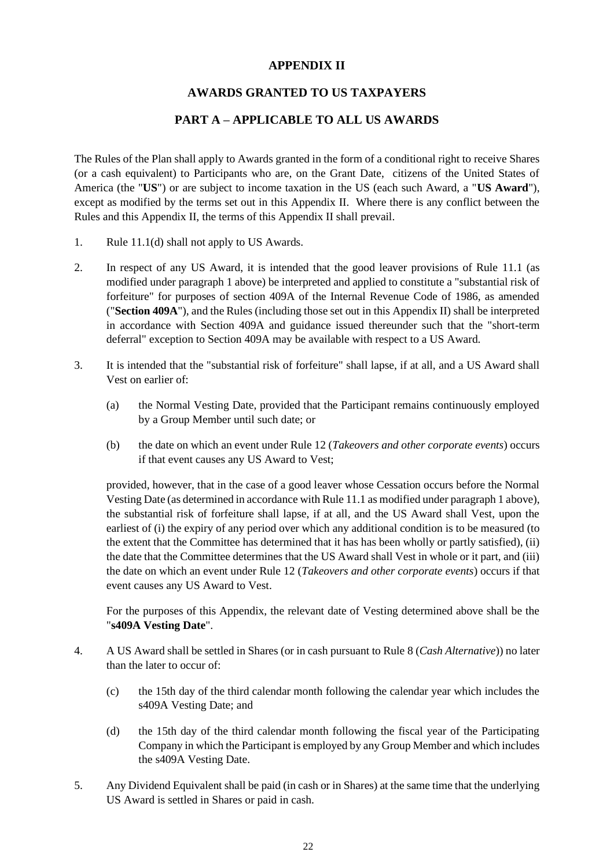# **APPENDIX II**

# **AWARDS GRANTED TO US TAXPAYERS**

# **PART A – APPLICABLE TO ALL US AWARDS**

The Rules of the Plan shall apply to Awards granted in the form of a conditional right to receive Shares (or a cash equivalent) to Participants who are, on the Grant Date, citizens of the United States of America (the "**US**") or are subject to income taxation in the US (each such Award, a "**US Award**"), except as modified by the terms set out in this Appendix II. Where there is any conflict between the Rules and this Appendix II, the terms of this Appendix II shall prevail.

- 1. Rule 11.1(d) shall not apply to US Awards.
- 2. In respect of any US Award, it is intended that the good leaver provisions of Rule 11.1 (as modified under paragraph 1 above) be interpreted and applied to constitute a "substantial risk of forfeiture" for purposes of section 409A of the Internal Revenue Code of 1986, as amended ("**Section 409A**"), and the Rules (including those set out in this Appendix II) shall be interpreted in accordance with Section 409A and guidance issued thereunder such that the "short-term deferral" exception to Section 409A may be available with respect to a US Award.
- 3. It is intended that the "substantial risk of forfeiture" shall lapse, if at all, and a US Award shall Vest on earlier of:
	- (a) the Normal Vesting Date, provided that the Participant remains continuously employed by a Group Member until such date; or
	- (b) the date on which an event under Rule 12 (*Takeovers and other corporate events*) occurs if that event causes any US Award to Vest;

provided, however, that in the case of a good leaver whose Cessation occurs before the Normal Vesting Date (as determined in accordance with Rule 11.1 as modified under paragraph 1 above), the substantial risk of forfeiture shall lapse, if at all, and the US Award shall Vest, upon the earliest of (i) the expiry of any period over which any additional condition is to be measured (to the extent that the Committee has determined that it has has been wholly or partly satisfied), (ii) the date that the Committee determines that the US Award shall Vest in whole or it part, and (iii) the date on which an event under Rule 12 (*Takeovers and other corporate events*) occurs if that event causes any US Award to Vest.

For the purposes of this Appendix, the relevant date of Vesting determined above shall be the "**s409A Vesting Date**".

- 4. A US Award shall be settled in Shares (or in cash pursuant to Rule 8 (*Cash Alternative*)) no later than the later to occur of:
	- (c) the 15th day of the third calendar month following the calendar year which includes the s409A Vesting Date; and
	- (d) the 15th day of the third calendar month following the fiscal year of the Participating Company in which the Participant is employed by any Group Member and which includes the s409A Vesting Date.
- 5. Any Dividend Equivalent shall be paid (in cash or in Shares) at the same time that the underlying US Award is settled in Shares or paid in cash.